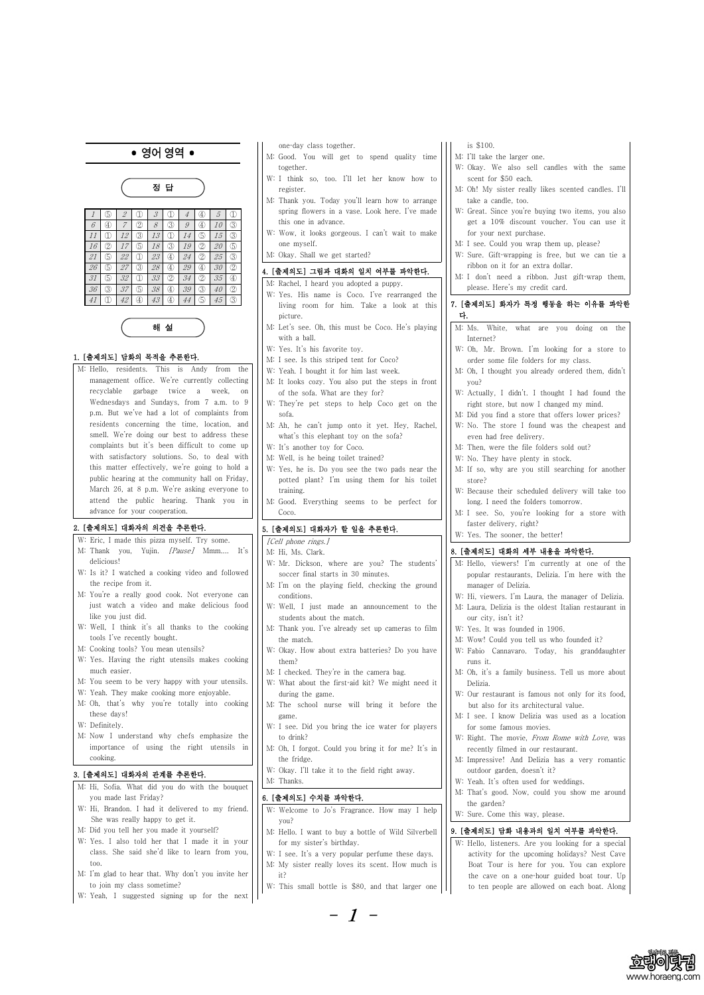- 1 -



# • 영어영역 •



해 설

#### 1. [출제의도] 담화의 목적을 추론한다.

M: Hello, residents. This is Andy from the management office. We're currently collecting recyclable garbage twice a week, on Wednesdays and Sundays, from 7 a.m. to 9 p.m. But we've had a lot of complaints from residents concerning the time, location, and smell. We're doing our best to address these complaints but it's been difficult to come up with satisfactory solutions. So, to deal with this matter effectively, we're going to hold a public hearing at the community hall on Friday, March 26, at 8 p.m. We're asking everyone to attend the public hearing. Thank you in advance for your cooperation.

#### 2. [출제의도] 대화자의 의견을 추론한다.

- one-day class together.
- M: Good. You will get to spend quality time together.
- W: I think so, too. I'll let her know how to register.
- M: Thank you. Today you'll learn how to arrange spring flowers in a vase. Look here. I've made this one in advance.
- W: Wow, it looks gorgeous. I can't wait to make one myself.
- M: Okay. Shall we get started?

- W: Eric, I made this pizza myself. Try some. M: Thank you, Yujin. [Pause] Mmm.... It's delicious!
- W: Is it? I watched a cooking video and followed the recipe from it.
- M: You're a really good cook. Not everyone can just watch a video and make delicious food like you just did.
- W: Well, I think it's all thanks to the cooking tools I've recently bought.
- M: Cooking tools? You mean utensils?
- W: Yes. Having the right utensils makes cooking much easier.
- M: You seem to be very happy with your utensils.
- W: Yeah. They make cooking more enjoyable.
- M: Oh, that's why you're totally into cooking these days!
- W: Definitely.
- M: Now I understand why chefs emphasize the importance of using the right utensils in

cooking.

### 3. [출제의도] 대화자의 관계를 추론한다.

M: Hi, Sofia. What did you do with the bouquet you made last Friday? W: Hi, Brandon. I had it delivered to my friend. She was really happy to get it. M: Did you tell her you made it yourself? W: Yes. I also told her that I made it in your class. She said she'd like to learn from you, too.

M: I'm glad to hear that. Why don't you invite her to join my class sometime?

W: Yeah, I suggested signing up for the next

W: I see. It's a very popular perfume these days. M: My sister really loves its scent. How much is it?

#### 4. [출제의도] 그림과 대화의 일치 여부를 파악한다.

- M: Rachel, I heard you adopted a puppy.
- W: Yes. His name is Coco. I've rearranged the living room for him. Take a look at this picture.
- M: Let's see. Oh, this must be Coco. He's playing with a ball.
- W: Yes. It's his favorite toy.
- M: I see. Is this striped tent for Coco?
- W: Yeah. I bought it for him last week.
- M: It looks cozy. You also put the steps in front of the sofa. What are they for?
- W: They're pet steps to help Coco get on the sofa.
- M: Ah, he can't jump onto it yet. Hey, Rachel, what's this elephant toy on the sofa?
- W: It's another toy for Coco.
- M: Well, is he being toilet trained?
- W: Yes, he is. Do you see the two pads near the potted plant? I'm using them for his toilet training.
- M: Good. Everything seems to be perfect for Coco.

#### 5. [출제의도] 대화자가 할 일을 추론한다.

[Cell phone rings.]

M: Hi, Ms. Clark.

- W: Mr. Dickson, where are you? The students' soccer final starts in 30 minutes.
- M: I'm on the playing field, checking the ground conditions.
- W: Well, I just made an announcement to the students about the match.
- M: Thank you. I've already set up cameras to film the match.
- W: Okay. How about extra batteries? Do you have them?
- M: I checked. They're in the camera bag.
- W: What about the first-aid kit? We might need it during the game.
- M: The school nurse will bring it before the game.
- W: I see. Did you bring the ice water for players to drink?
- M: Oh, I forgot. Could you bring it for me? It's in

the fridge.

W: Okay. I'll take it to the field right away. M: Thanks.

# 6. [출제의도] 수치를 파악한다.

W: Welcome to Jo's Fragrance. How may I help you?

M: Hello. I want to buy a bottle of Wild Silverbell for my sister's birthday.

W: This small bottle is \$80, and that larger one

- is \$100.
- M: I'll take the larger one.
- W: Okay. We also sell candles with the same scent for \$50 each.
- M: Oh! My sister really likes scented candles. I'll take a candle, too.
- W: Great. Since you're buying two items, you also get a 10% discount voucher. You can use it for your next purchase.
- M: I see. Could you wrap them up, please?
- W: Sure. Gift-wrapping is free, but we can tie a ribbon on it for an extra dollar.
- M: I don't need a ribbon. Just gift-wrap them, please. Here's my credit card.

#### 7. [출제의도] 화자가 특정 행동을 하는 이유를 파악한 다.

- M: Ms. White, what are you doing on the Internet?
- W: Oh, Mr. Brown. I'm looking for a store to order some file folders for my class.
- M: Oh, I thought you already ordered them, didn't you?
- W: Actually, I didn't. I thought I had found the right store, but now I changed my mind.
- M: Did you find a store that offers lower prices?
- W: No. The store I found was the cheapest and even had free delivery.
- M: Then, were the file folders sold out?
- W: No. They have plenty in stock.
- M: If so, why are you still searching for another store?
- W: Because their scheduled delivery will take too long. I need the folders tomorrow.
- M: I see. So, you're looking for a store with faster delivery, right?
- W: Yes. The sooner, the better!

#### 8. [출제의도] 대화의 세부 내용을 파악한다.

- M: Hello, viewers! I'm currently at one of the popular restaurants, Delizia. I'm here with the manager of Delizia.
- W: Hi, viewers. I'm Laura, the manager of Delizia.
- M: Laura, Delizia is the oldest Italian restaurant in our city, isn't it?
- W: Yes. It was founded in 1906.
- M: Wow! Could you tell us who founded it?
- W: Fabio Cannavaro. Today, his granddaughter runs it.
- M: Oh, it's a family business. Tell us more about Delizia.
- W: Our restaurant is famous not only for its food, but also for its architectural value.
- M: I see. I know Delizia was used as a location for some famous movies.
- W: Right. The movie, From Rome with Love, was recently filmed in our restaurant.

M: Impressive! And Delizia has a very romantic outdoor garden, doesn't it?

W: Yeah. It's often used for weddings.

M: That's good. Now, could you show me around the garden?

W: Sure. Come this way, please.

# 9. [출제의도] 담화 내용과의 일치 여부를 파악한다.

W: Hello, listeners. Are you looking for a special activity for the upcoming holidays? Nest Cave Boat Tour is here for you. You can explore the cave on a one-hour guided boat tour. Up to ten people are allowed on each boat. Along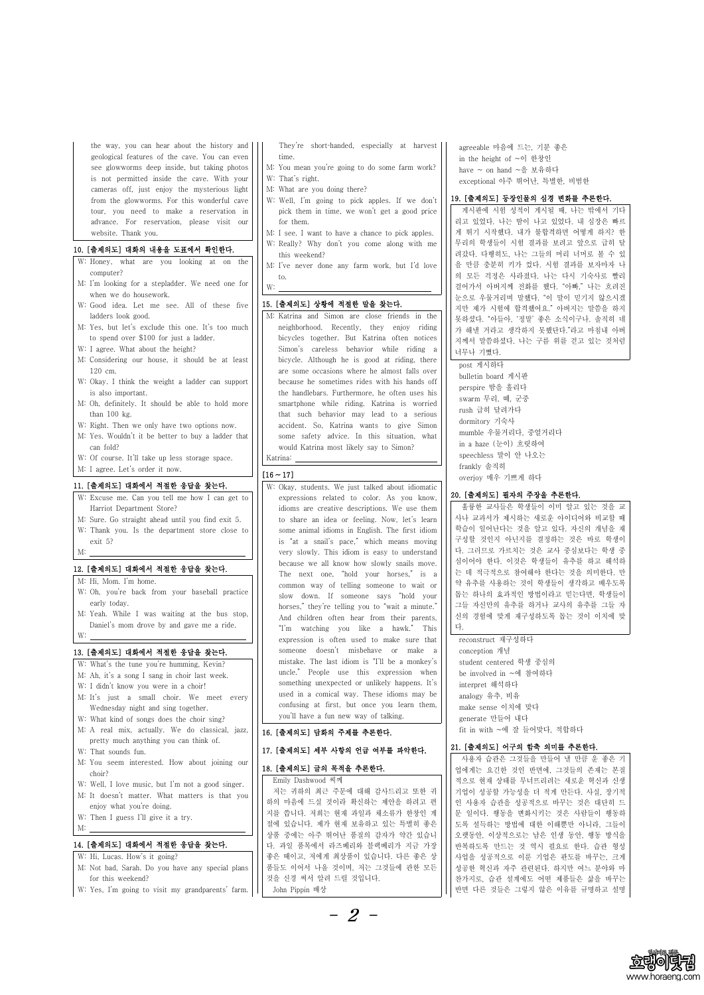- 2 -



the way, you can hear about the history and geological features of the cave. You can even see glowworms deep inside, but taking photos is not permitted inside the cave. With your cameras off, just enjoy the mysterious light from the glowworms. For this wonderful cave tour, you need to make a reservation in advance. For reservation, please visit our website. Thank you.

#### 10. [출제의도] 대화의 내용을 도표에서 확인한다.

- W: Honey, what are you looking at on the computer?
- M: I'm looking for a stepladder. We need one for  $\vert \vert \vert_{W}$ . when we do housework.
- W: Good idea. Let me see. All of these five ladders look good.
- M: Yes, but let's exclude this one. It's too much to spend over \$100 for just a ladder.
- W: I agree. What about the height?
- M: Considering our house, it should be at least 120 cm.
- W: Okay. I think the weight a ladder can support is also important.
- M: Oh, definitely. It should be able to hold more than 100 kg.
- W: Right. Then we only have two options now.
- M: Yes. Wouldn't it be better to buy a ladder that
- can fold?
- W: Of course. It'll take up less storage space.
- M: I agree. Let's order it now.

- W: What's the tune you're humming, Kevin? M: Ah, it's a song I sang in choir last week. W: I didn't know you were in a choir! M: It's just a small choir. We meet every Wednesday night and sing together. W: What kind of songs does the choir sing? M: A real mix, actually. We do classical, jazz, pretty much anything you can think of.
- $W^*$  That counds fur.

#### 11. [출제의도] 대화에서 적절한 응답을 찾는다.

They're short-handed, especially at harvest time.

- W: Excuse me. Can you tell me how I can get to Harriot Department Store?
- M: Sure. Go straight ahead until you find exit 5.
- W: Thank you. Is the department store close to
- exit 5?

# M: 12. [출제의도] 대화에서 적절한 응답을 찾는다.

- M: Hi, Mom. I'm home.
- W: Oh, you're back from your baseball practice early today.
- M: Yeah. While I was waiting at the bus stop, Daniel's mom drove by and gave me a ride.

# W: 13. [출제의도] 대화에서 적절한 응답을 찾는다.

| $W \cdot$ inde sounds fun.                                                                      | . .                     |
|-------------------------------------------------------------------------------------------------|-------------------------|
| M: You seem interested. How about joining our $\begin{vmatrix} 1 & 18 \\ 18 & 18 \end{vmatrix}$ |                         |
| choir?                                                                                          |                         |
| W: Well, I love music, but I'm not a good singer.                                               |                         |
| M: It doesn't matter. What matters is that you $\Big \Big $ $\Big $                             |                         |
| enjoy what you're doing.                                                                        | $\overline{\mathbf{z}}$ |
| W: Then I guess I'll give it a try.                                                             |                         |
| M:                                                                                              | ्<br>दू                 |
|                                                                                                 |                         |

#### M: 14. [출제의도] 대화에서 적절한 응답을 찾는다.

W: Hi, Lucas. How's it going? M: Not bad, Sarah. Do you have any special plans  $|| \cdot ||$  품들 for this weekend? W: Yes, I'm going to visit my grandparents' farm.

- M: You mean you're going to do some farm work? W: That's right.
- M: What are you doing there?
- W: Well, I'm going to pick apples. If we don't pick them in time, we won't get a good price for them.
- M: I see. I want to have a chance to pick apples.
- W: Really? Why don't you come along with me this weekend?
- M: I've never done any farm work, but I'd love to.

### W: 15. [출제의도] 상황에 적절한 말을 찾는다.

M: Katrina and Simon are close friends in the neighborhood. Recently, they enjoy riding bicycles together. But Katrina often notices Simon's careless behavior while riding a bicycle. Although he is good at riding, there are some occasions where he almost falls over because he sometimes rides with his hands off the handlebars. Furthermore, he often uses his smartphone while riding. Katrina is worried that such behavior may lead to a serious accident. So, Katrina wants to give Simon some safety advice. In this situation, what would Katrina most likely say to Simon?

# Katrina:<br> $[16 \sim 17]$

W: Okay, students. We just talked about idiomatic expressions related to color. As you know, idioms are creative descriptions. We use them to share an idea or feeling. Now, let's learn some animal idioms in English. The first idiom is "at a snail's pace," which means moving very slowly. This idiom is easy to understand because we all know how slowly snails move. The next one, "hold your horses," is a common way of telling someone to wait or slow down. If someone says "hold your horses," they're telling you to "wait a minute." And children often hear from their parents, "I'm watching you like a hawk." This  $\left|\right|$  |  $\forall$ . expression is often used to make sure that someone doesn't misbehave or make a mistake. The last idiom is "I'll be a monkey's uncle." People use this expression when something unexpected or unlikely happens. It's used in a comical way. These idioms may be confusing at first, but once you learn them, you'll have a fun new way of talking.

#### 16. [출제의도] 담화의 주제를 추론한다.

17. [출제의도] 세부 사하이 어글 어브르 코아치고

agreeable 마음에 드는, 기분 좋은 in the height of ~이 한창인 have  $\sim$  on hand  $\sim$ 을 보유하다 exceptional 아주 뛰어난, 특별한, 비범한

#### 19. [출제의도] 등장인물의 심경 변화를 추론한다.

게시판에 시험 성적이 게시될 때, 나는 밖에서 기다 리고 있었다. 나는 땀이 나고 있었다. 내 심장은 빠르 게 뛰기 시작했다. 내가 불합격하면 어떻게 하지? 한 무리의 학생들이 시험 결과를 보려고 앞으로 급히 달 려갔다. 다행히도, 나는 그들의 머리 너머로 볼 수 있 을 만큼 충분히 키가 컸다. 시험 결과를 보자마자 나 의 모든 걱정은 사라졌다. 나는 다시 기숙사로 빨리 걸어가서 아버지께 전화를 했다. "아빠," 나는 흐려진 눈으로 우물거리며 말했다. "이 말이 믿기지 않으시겠 지만 제가 시험에 합격했어요." 아버지는 말씀을 하지 못하셨다. "아들아, '정말' 좋은 소식이구나. 솔직히 네 가 해낼 거라고 생각하지 못했단다."라고 마침내 아버 지께서 말씀하셨다. 나는 구름 위를 걷고 있는 것처럼 너무나 기뻤다.

post 게시하다 bulletin board 게시판 perspire 땀을 흘리다 swarm 무리, 떼, 군중 rush 급히 달려가다 dormitory 기숙사 mumble 우물거리다, 중얼거리다 in a haze (눈이) 흐릿하여 speechless 말이 안 나오는 frankly 솔직히 overjoy 매우 기쁘게 하다

| 17. [굴제러도] 세구 시영러 인급 여구들 파티만다. |                                |  |
|--------------------------------|--------------------------------|--|
|                                | 사용자 습관은 그것들을 만들어 낼 만큼 운 좋은 기   |  |
| 18. [출제의도] 글의 목적을 추론한다.        | 업에게는 요긴한 것인 반면에, 그것들의 존재는 본질   |  |
| Emily Dashwood 씨께              | 적으로 현재 상태를 무너뜨리려는 새로운 혁신과 신생   |  |
| 저는 귀하의 최근 주문에 대해 감사드리고 또한 귀    | 기업이 성공할 가능성을 더 적게 만든다. 사실, 장기적 |  |
| 하의 마음에 드실 것이라 확신하는 제안을 하려고 편   | 인 사용자 습관을 성공적으로 바꾸는 것은 대단히 드   |  |
| 지를 씁니다. 저희는 현재 과일과 채소류가 한창인 계  | 문 일이다. 행동을 변화시키는 것은 사람들이 행동하   |  |
| 절에 있습니다. 제가 현재 보유하고 있는 특별히 좋은  | 도록 설득하는 방법에 대한 이해뿐만 아니라, 그들이   |  |
| 상품 중에는 아주 뛰어난 품질의 감자가 약간 있습니   | 오랫동안, 이상적으로는 남은 인생 동안, 행동 방식을  |  |
| 다. 과일 품목에서 라즈베리와 블랙베리가 지금 가장   | 반복하도록 만드는 것 역시 필요로 한다. 습관 형성   |  |
| 좋은 때이고, 저에게 최상품이 있습니다. 다른 좋은 상 | 사업을 성공적으로 이룬 기업은 판도를 바꾸는, 크게   |  |
| 품들도 이어서 나올 것이며, 저는 그것들에 관한 모든  | 성공한 혁신과 자주 관련된다. 하지만 여느 분야와 마  |  |
| 것을 신경 써서 알려 드릴 것입니다.           | 찬가지로, 습관 설계에도 어떤 제품들은 삶을 바꾸는   |  |
| John Pippin 배상                 | 반면 다른 것들은 그렇지 않은 이유를 규명하고 설명   |  |
|                                |                                |  |

#### 20. [출제의도] 필자의 주장을 추론한다.

훌륭한 교사들은 학생들이 이미 알고 있는 것을 교 사나 교과서가 제시하는 새로운 아이디어와 비교할 때 학습이 일어난다는 것을 알고 있다. 자신의 개념을 재 구성할 것인지 아닌지를 결정하는 것은 바로 학생이 다. 그러므로 가르치는 것은 교사 중심보다는 학생 중 심이어야 한다. 이것은 학생들이 유추를 하고 해석하 는 데 적극적으로 참여해야 한다는 것을 의미한다. 만 약 유추를 사용하는 것이 학생들이 생각하고 배우도록 돕는 하나의 효과적인 방법이라고 믿는다면, 학생들이 그들 자신만의 유추를 하거나 교사의 유추를 그들 자 신의 경험에 맞게 재구성하도록 돕는 것이 이치에 맞

다.reconstruct 재구성하다 conception 개념 student centered 학생 중심의 be involved in ~에 참여하다 interpret 해석하다 analogy 유추, 비유 make sense 이치에 맞다 generate 만들어 내다 fit in with ~에 잘 들어맞다, 적합하다

21. [출제의도] 어구의 함축 의미를 추론한다.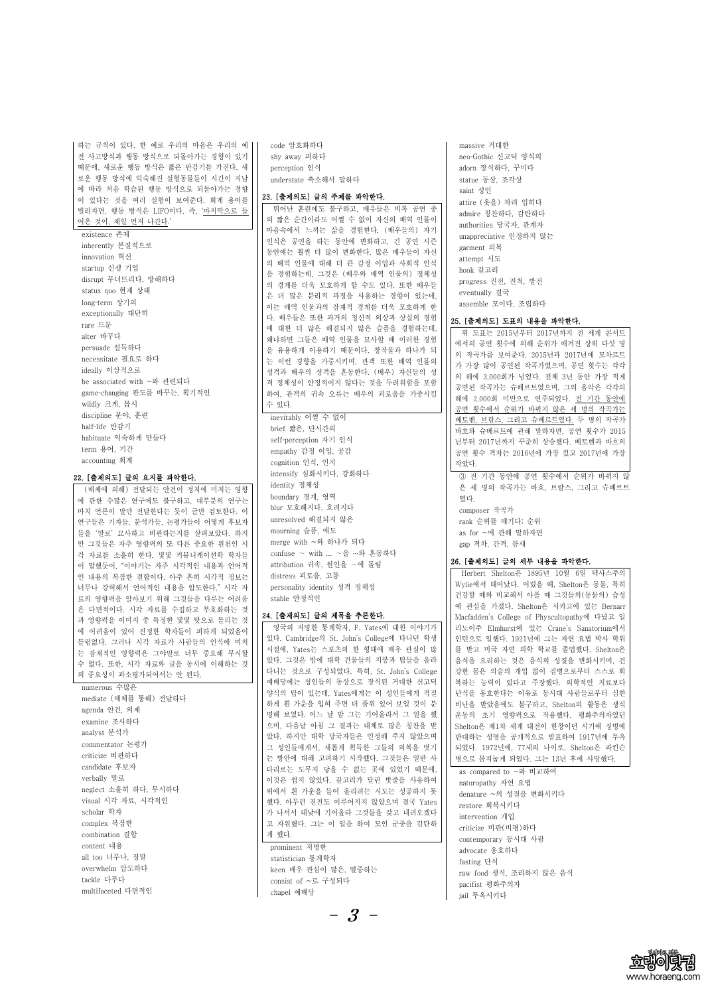- 3 -



하는 규칙이 있다. 한 예로 우리의 마음은 우리의 예 전 사고방식과 행동 방식으로 되돌아가는 경향이 있기 때문에, 새로운 행동 방식은 짧은 반감기를 가진다. 새 로운 행동 방식에 익숙해진 실험동물들이 시간이 지남 에 따라 처음 학습된 행동 방식으로 되돌아가는 경향 이 있다는 것을 여러 실험이 보여준다. 회계 용어를 빌리자면, 행동 방식은 LIFO이다. 즉, '마지막으로 들 어온 것이, 제일 먼저 나간다.'

existence 존재 inherently 본질적으로 innovation 혁신 startup 신생 기업 disrupt 무너뜨리다, 방해하다 status quo 현재 상태 long-term 장기의 exceptionally 대단히 rare 드문 alter 바꾸다 persuade 설득하다 necessitate 필요로 하다 ideally 이상적으로 be associated with ~와 관련되다 gamechanging 판도를 바꾸는, 획기적인 wildly 크게, 몹시 discipline 분야, 훈련 half-life 반감기 habituate 익숙하게 만들다 term 용어, 기간 accounting 회계

#### 22. [출제의도] 글의 요지를 파악한다.

(매체에 의해) 전달되는 안건이 정치에 미치는 영향 에 관한 수많은 연구에도 불구하고, 대부분의 연구는 마치 언론이 말만 전달한다는 듯이 글만 검토한다. 이 연구들은 기자들, 분석가들, 논평가들이 어떻게 후보자 들을 '말로' 묘사하고 비판하는지를 살펴보았다. 하지 만 그것들은 자주 영향력의 또 다른 중요한 원천인 시 각 자료를 소홀히 한다. 몇몇 커뮤니케이션학 학자들 이 말했듯이, "이야기는 자주 시각적인 내용과 언어적 인 내용의 복잡한 결합이다. 아주 흔히 시각적 정보는 너무나 강력해서 언어적인 내용을 압도한다." 시각 자 료의 영향력을 알아보기 위해 그것들을 다루는 어려움 은 다면적이다. 시각 자료를 수집하고 부호화하는 것 과 영향력을 이미지 중 특정한 몇몇 탓으로 돌리는 것 에 어려움이 있어 진정한 학자들이 피하게 되었음이 틀림없다. 그러나 시각 자료가 사람들의 인식에 미치 는 잠재적인 영향력은 그야말로 너무 중요해 무시할 수 없다. 또한, 시각 자료와 글을 동시에 이해하는 것 의 중요성이 과소평가되어서는 안 된다.

numerous 수많은 mediate (매체를 통해) 전달하다 agenda 안건, 의제 examine 조사하다 analyst 분석가 commentator 논평가

code 암호화하다 shy away 피하다 perception 인식 understate 축소해서 말하다

### 23. [출제의도] 글의 주제를 파악한다.

뛰어난 훈련에도 불구하고, 배우들은 비록 공연 중 의 짧은 순간이라도 어쩔 수 없이 자신의 배역 인물이 마음속에서 느끼는 삶을 경험한다. (배우들의) 자기 인식은 공연을 하는 동안에 변화하고, 긴 공연 시즌 동안에는 훨씬 더 많이 변화한다. 많은 배우들이 자신 의 배역 인물에 대해 더 큰 감정 이입과 사회적 인식 을 경험하는데, 그것은 (배우와 배역 인물의) 정체성 의 경계를 더욱 모호하게 할 수도 있다. 또한 배우들 은 더 많은 분리적 과정을 사용하는 경향이 있는데,<br>이는 배역 인물과의 잠재적 경계를 더욱 모호하게 한 다. 배우들은 또한 과거의 정신적 외상과 상실의 경험 에 대한 더 많은 해결되지 않은 슬픔을 경험하는데,<br>왜냐하면 그들은 배역 인물을 묘사할 때 이러한 경험 을 유용하게 이용하기 때문이다. 창작물과 하나가 되 는 이런 경향을 가중시키며, 관객 또한 배역 인물의 성격과 배우의 성격을 혼동한다. (배우) 자신들의 성 격 정체성이 안정적이지 않다는 것을 두려워함을 포함 하여, 관객의 귀속 오류는 배우의 괴로움을 가중시킬 수 있다.

inevitably 어쩔 수 없이 brief 짧은, 단시간의 self-perception 자기 인식 empathy 감정 이입, 공감 cognition 인식, 인지 intensify 심화시키다, 강화하다 identity 정체성 boundary 경계, 영역 blur 모호해지다, 흐려지다 unresolved 해결되지 않은 mourning 슬픔, 애도 merge with ~와 하나가 되다 confuse ∼ with ... ∼을 …와 혼동하다 attribution 귀속, 원인을 ∼에 돌림 distress 괴로움, 고통 personality identity 성격 정체성 stable 안정적인

#### 24. [출제의도] 글의 제목을 추론한다.

영국의 저명한 통계학자, F. Yates에 대한 이야기가 있다. Cambridge의 St. John's College에 다니던 학생 시절에, Yates는 스포츠의 한 형태에 매우 관심이 많 았다. 그것은 밤에 대학 건물들의 지붕과 탑들을 올라 다니는 것으로 구성되었다. 특히, St. John's College 예배당에는 성인들의 동상으로 장식된 거대한 신고딕 양식의 탑이 있는데, Yates에게는 이 성인들에게 적절 하게 흰 가운을 입혀 주면 더 품위 있어 보일 것이 분 명해 보였다. 어느 날 밤 그는 기어올라서 그 일을 했 으며, 다음날 아침 그 결과는 대체로 많은 칭찬을 받 았다. 하지만 대학 당국자들은 인정해 주지 않았으며 그 성인들에게서, 새롭게 획득한 그들의 의복을 벗기

|                                 | - IAA I. 1912 LETI. II TEITTEITEIN VIIUIUUILLE TEL |
|---------------------------------|----------------------------------------------------|
| 는 방안에 대해 고려하기 시작했다. 그것들은 일반 사   | 병으로 몸져눕게 되었다. 그는 13년 후에 사망했다.                      |
| 다리로는 도무지 닿을 수 없는 곳에 있었기 때문에,    | as compared to ~와 비교하여                             |
| 이것은 쉽지 않았다. 갈고리가 달린 밧줄을 사용하여    | naturopathy 자연 요법                                  |
| 위에서 흰 가운을 들어 올리려는 시도는 성공하지 못    | denature ~의 성질을 변화시키다                              |
| 했다. 아무런 진전도 이루어지지 않았으며 결국 Yates | restore 회복시키다                                      |
| 가 나서서 대낮에 기어올라 그것들을 갖고 내려오겠다    | intervention 개입                                    |
| 고 자원했다. 그는 이 일을 하여 모인 군중을 감탄하   | criticize 비판(비평)하다                                 |
| 게 했다.                           | contemporary 동시대 사람                                |
| prominent 저명한                   | advocate 옹호하다                                      |
| statistician 통계학자               | fasting 단식                                         |
| keen 매우 관심이 많은, 열중하는            | raw food 생식, 조리하지 않은 음식                            |
| consist of ~로 구성되다              | pacifist 평화주의자                                     |
| chapel 예배당                      | jail 투옥시키다                                         |
|                                 |                                                    |

massive 거대한 neo-Gothic 신고딕 양식의 adorn 장식하다, 꾸미다 statue 동상, 조각상 saint 성인 attire (옷을) 차려 입히다 admire 칭찬하다, 감탄하다 authorities 당국자, 관계자 unappreciative 인정하지 않는 garment 의복 attempt 시도 hook 갈고리 progress 진전, 진척, 발전 eventually 결국 assemble 모이다, 조립하다

#### 25. [출제의도] 도표의 내용을 파악한다.

위 도표는 2015년부터 2017년까지 전 세계 콘서트 에서의 공연 횟수에 의해 순위가 매겨진 상위 다섯 명 의 작곡가를 보여준다. 2015년과 2017년에 모차르트 가 가장 많이 공연된 작곡가였으며, 공연 횟수는 각각 의 해에 3,000회가 넘었다. 전체 3년 동안 가장 적게 공연된 작곡가는 슈베르트였으며, 그의 음악은 각각의 해에 2,000회 미만으로 연주되었다. 전 기간 동안에 공연 횟수에서 순위가 바뀌지 않은 세 명의 작곡가는 베토벤, 브람스, 그리고 슈베르트였다. 두 명의 작곡가 바흐와 슈베르트에 관해 말하자면, 공연 횟수가 2015 년부터 2017년까지 꾸준히 상승했다. 베토벤과 바흐의 공연 횟수 격차는 2016년에 가장 컸고 2017년에 가장 작았다.

③ 전 기간 동안에 공연 횟수에서 순위가 바뀌지 않 은 세 명의 작곡가는 바흐, 브람스, 그리고 슈베르트 였다. composer 작곡가 rank 순위를 매기다; 순위 as for ~에 관해 말하자면

gap 격차, 간격, 틈새

#### 26. [출제의도] 글의 세부 내용을 파악한다.

Herbert Shelton은 1895년 10월 6일 텍사스주의 Wylie에서 태어났다. 어렸을 때, Shelton은 동물, 특히 건강할 때와 비교해서 아플 때 그것들의(동물의) 습성 에 관심을 가졌다. Shelton은 시카고에 있는 Bernarr Macfadden's College of Physcultopathy에 다녔고 일 리노이주 Elmhurst에 있는 Crane's Sanatorium에서 인턴으로 일했다. 1921년에 그는 자연 요법 박사 학위 를 받고 미국 자연 의학 학교를 졸업했다. Shelton은 음식을 요리하는 것은 음식의 성질을 변화시키며, 건 강한 몸은 의술의 개입 없이 질병으로부터 스스로 회 복하는 능력이 있다고 주장했다. 의학적인 치료보다 단식을 옹호한다는 이유로 동시대 사람들로부터 심한 비난을 받았음에도 불구하고, Shelton의 활동은 생식 운동의 초기 영향력으로 작용했다. 평화주의자였던 Shelton은 제1차 세계 대전이 한창이던 시기에 징병에 반대하는 성명을 공개적으로 발표하여 1917년에 투옥 되었다. 1972년에, 77세의 나이로, Shelton은 파킨슨 naturopathy 자연 요법 restore 회복시키다 intervention 개입 contemporary 동시대 사람 advocate 옹호하다 fasting 단식 raw food 생식, 조리하지 않은 음식 pacifist 평화주의자 jail 투옥시키다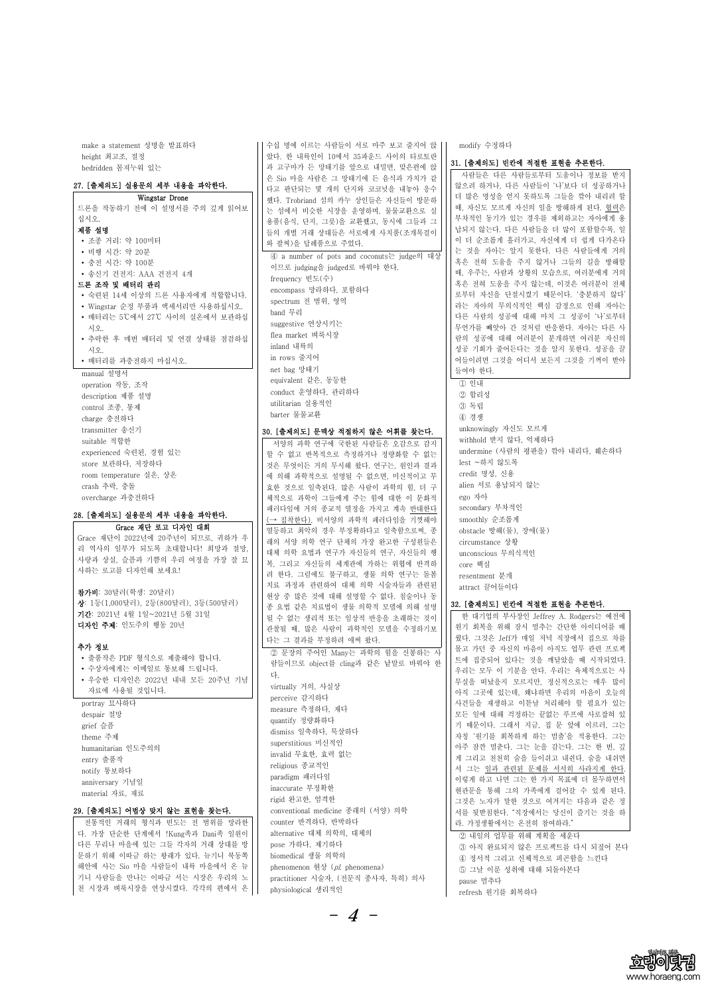make a statement 성명을 발표하다 height 최고조, 절정 bedridden 몸져누워 있는

#### 27. [출제의도] 실용문의 세부 내용을 파악한다.

Wingstar Drone 드론을 작동하기 전에 이 설명서를 주의 깊게 읽어보 십시오. 제품 설명 ∙ 조종 거리: 약 100미터 ∙ 비행 시간: 약 20분 ∙ 충전 시간: 약 100분 ∙ 송신기 건전지: AAA 건전지 4개 드론 조작 및 배터리 관리 ∙ 숙련된 14세 이상의 드론 사용자에게 적합합니다. ∙ Wingstar 순정 부품과 액세서리만 사용하십시오. ∙ 배터리는 5℃에서 27℃ 사이의 실온에서 보관하십 시오. ∙ 추락한 후 매번 배터리 및 연결 상태를 점검하십 시오. ∙ 배터리를 과충전하지 마십시오. manual 설명서 operation 작동, 조작 description 제품 설명 control 조종, 통제 charge 충전하다 transmitter 송신기 suitable 적합한 experienced 숙련된, 경험 있는 store 보관하다, 저장하다

리 역사의 일부가 되도록 초대합니다! 희망과 절망,<br>사랑과 상실, 슬픔과 기쁨의 우리 여정을 가장 잘 묘 사하는 로고를 디자인해 보세요!

room temperature 실온, 상온 crash 추락, 충돌 overcharge 과충전하다

# 28. [출제의도] 실용문의 세부 내용을 파악한다.

Grace 재단 로고 디자인 대회 Grace 재단이 2022년에 20주년이 되므로, 귀하가 우

참가비: 30달러(학생: 20달러) 상: 1등(1,000달러), 2등(800달러), 3등(500달러) 기간: 2021년 4월 1일~2021년 5월 31일 디자인 주제: 인도주의 행동 20년

#### 추가 정보

- ∙ 출품작은 PDF 형식으로 제출해야 합니다.
- ∙ 수상자에게는 이메일로 통보해 드립니다.
- ∙ 우승한 디자인은 2022년 내내 모든 20주년 기념 자료에 사용될 것입니다.
- portray 묘사하다 despair 절망 grief 슬픔 theme 주제

수십 명에 이르는 사람들이 서로 마주 보고 줄지어 앉 았다. 한 내륙인이 10에서 35파운드 사이의 타로토란 과 고구마가 든 망태기를 앞으로 내밀면, 맞은편에 앉 은 Sio 마을 사람은 그 망태기에 든 음식과 가치가 같 다고 판단되는 몇 개의 단지와 코코넛을 내놓아 응수 했다. Trobriand 섬의 카누 상인들은 자신들이 방문하 는 섬에서 비슷한 시장을 운영하며, 물물교환으로 실 용품(음식, 단지, 그릇)을 교환했고, 동시에 그들과 그 들의 개별 거래 상대들은 서로에게 사치품(조개목걸이 와 팔찌)을 답례품으로 주었다. ④ a number of pots and coconuts는 judge의 대상 이므로 judging을 judged로 바꿔야 한다. frequency 빈도(수) encompass 망라하다, 포함하다 spectrum 전 범위, 영역 band 무리 suggestive 연상시키는 flea market 벼룩시장 inland 내륙의 in rows 줄지어 net bag 망태기 equivalent 같은, 동등한 conduct 운영하다, 관리하다 utilitarian 실용적인 barter 물물교환 30. [출제의도] 문맥상 적절하지 않은 어휘를 찾는다. 서양의 과학 연구에 국한된 사람들은 오감으로 감지

할 수 없고 반복적으로 측정하거나 정량화할 수 없는 것은 무엇이든 거의 무시해 왔다. 연구는, 원인과 결과 에 의해 과학적으로 설명될 수 없으면, 미신적이고 무 효한 것으로 일축된다. 많은 사람이 과학의 힘, 더 구 체적으로 과학이 그들에게 주는 힘에 대한 이 문화적 패러다임에 거의 종교적 열정을 가지고 계속 반대한다 (→ 집착한다). 비서양의 과학적 패러다임을 기껏해야 열등하고 최악의 경우 부정확하다고 일축함으로써, 종 래의 서양 의학 연구 단체의 가장 완고한 구성원들은 대체 의학 요법과 연구가 자신들의 연구, 자신들의 행 복, 그리고 자신들의 세계관에 가하는 위협에 반격하 려 한다. 그럼에도 불구하고, 생물 의학 연구는 돌봄 치료 과정과 관련하여 대체 의학 시술자들과 관련된 현상 중 많은 것에 대해 설명할 수 없다. 침술이나 동 종 요법 같은 치료법이 생물 의학적 모델에 의해 설명 될 수 없는 생리적 또는 임상적 반응을 초래하는 것이 관찰될 때, 많은 사람이 과학적인 모델을 수정하기보 다는 그 결과를 부정하려 애써 왔다.

람들이므로 object를 cling과 같은 낱말로 바꿔야 한 다. virtually 거의, 사실상 perceive 감지하다 measure 측정하다, 재다 quantify 정량화하다 dismiss 일축하다, 묵살하다 superstitious 미신적인

| humanitarian 인도주의의<br>entry 출품작<br>notify 통보하다<br>anniversary 기념일<br>material 자료, 재료 | invalid 무효한, 효력 없는<br>religious 종교적인<br>paradigm 패러다임<br>inaccurate 부정확한<br>rigid 완고한, 엄격한 | 아주 삼깐 넘순다. 그는 눈을 감는다. 그는 한 번, 깊<br>게 그리고 천천히 숨을 들이쉬고 내쉰다. 숨을 내쉬면<br>서 그는 일과 관련된 문제를 서서히 사라지게 한다.<br>이렇게 하고 나면 그는 한 가지 목표에 더 몰두하면서<br>현관문을 통해 그의 가족에게 걸어갈 수 있게 된다.<br>그것은 노자가 말한 것으로 여겨지는 다음과 같은 정 |
|--------------------------------------------------------------------------------------|--------------------------------------------------------------------------------------------|---------------------------------------------------------------------------------------------------------------------------------------------------------------------------------------------------|
| 29. [출제의도] 어법상 맞지 않는 표현을 찾는다.                                                        | conventional medicine 종래의 (서양) 의학                                                          | 서를 뒷받침한다. "직장에서는 당신이 즐기는 것을 하                                                                                                                                                                     |
| 전통적인 거래의 형식과 빈도는 전 범위를 망라한                                                           | counter 반격하다, 반박하다                                                                         | 라. 가정생활에서는 온전히 참여하라."                                                                                                                                                                             |
| 다. 가장 단순한 단계에서 !Kung족과 Dani족 일원이                                                     | alternative 대체 의학의, 대체의                                                                    | 2 내일의 업무를 위해 계획을 세운다                                                                                                                                                                              |
| 다른 무리나 마을에 있는 그들 각자의 거래 상대를 방                                                        | pose 가하다, 제기하다                                                                             | 3 아직 완료되지 않은 프로젝트를 다시 되짚어 본다                                                                                                                                                                      |
| 문하기 위해 이따금 하는 왕래가 있다. 뉴기니 북동쪽                                                        | biomedical 생물 의학의                                                                          | 4 정서적 그리고 신체적으로 피곤함을 느낀다                                                                                                                                                                          |
| 해안에 사는 Sio 마을 사람들이 내륙 마을에서 온 뉴                                                       | phenomenon 현상 (pl. phenomena)                                                              | 5 그날 이룬 성취에 대해 되돌아본다                                                                                                                                                                              |
| 기니 사람들을 만나는 이따금 서는 시장은 우리의 노                                                         | practitioner 시술자, (전문직 종사자, 특히) 의사                                                         | pause 멈추다                                                                                                                                                                                         |
| 천 시장과 벼룩시장을 연상시켰다. 각각의 편에서 온                                                         | physiological 생리적인                                                                         | refresh 원기를 회복하다                                                                                                                                                                                  |

 $- 4 -$ 



modify 수정하다

#### 31. [출제의도] 빈칸에 적절한 표현을 추론한다.

사람들은 다른 사람들로부터 도움이나 정보를 받지 않으려 하거나, 다른 사람들이 '나'보다 더 성공하거나 더 많은 명성을 얻지 못하도록 그들을 깎아 내리려 할 때, 자신도 모르게 자신의 일을 방해하게 된다. 협력은 부차적인 동기가 있는 경우를 제외하고는 자아에게 용 납되지 않는다. 다른 사람들을 더 많이 포함할수록, 일 이 더 순조롭게 흘러가고, 자신에게 더 쉽게 다가온다 는 것을 자아는 알지 못한다. 다른 사람들에게 거의 혹은 전혀 도움을 주지 않거나 그들의 길을 방해할 때, 우주는, 사람과 상황의 모습으로, 여러분에게 거의 혹은 전혀 도움을 주지 않는데, 이것은 여러분이 전체 로부터 자신을 단절시켰기 때문이다. '충분하지 않다' 라는 자아의 무의식적인 핵심 감정으로 인해 자아는 다른 사람의 성공에 대해 마치 그 성공이 '나'로부터 무언가를 빼앗아 간 것처럼 반응한다. 자아는 다른 사 람의 성공에 대해 여러분이 분개하면 여러분 자신의 성공 기회가 줄어든다는 것을 알지 못한다. 성공을 끌 어들이려면 그것을 어디서 보든지 그것을 기꺼이 받아 들여야 한다. ① 인내 ② 합리성 ③ 독립 ④ 경쟁 unknowingly 자신도 모르게 withhold 받지 않다, 억제하다 undermine (사람의 평판을) 깎아 내리다, 훼손하다 lest ~하지 않도록 credit 명성, 신용 alien 서로 용납되지 않는 ego 자아 secondary 부차적인 smoothly 순조롭게 obstacle 방해(물), 장애(물) circumstance 상황 unconscious 무의식적인 core 핵심 resentment 분개 attract 끌어들이다

#### 32. [출제의도] 빈칸에 적절한 표현을 추론한다.

② 문장의 주어인 Many는 과학의 힘을 신봉하는 사 || <sup>돌고</sup> 가던 중 자신의 마음이 아직도 업무 관련 프로젝<br>고등시묘군 나, 남은 방 국 김용 남명군 생필심 결 || 트에 집중되어 있다는 것을 깨달았을 때 시작되었다. 한 대기업의 부사장인 Jeffrey A. Rodgers는 예전에 원기 회복을 위해 잠시 멈추는 간단한 아이디어를 배 웠다. 그것은 Jeff가 매일 저녁 직장에서 집으로 차를 몰고 가던 중 자신의 마음이 아직도 업무 관련 프로젝 우리는 모두 이 기분을 안다. 우리는 육체적으로는 사 무실을 떠났을지 모르지만, 정신적으로는 매우 많이 아직 그곳에 있는데, 왜냐하면 우리의 마음이 오늘의 사건들을 재생하고 이튿날 처리해야 할 필요가 있는 모든 일에 대해 걱정하는 끝없는 루프에 사로잡혀 있 기 때문이다. 그래서 지금, 집 문 앞에 이르러, 그는 자칭 '원기를 회복하게 하는 멈춤'을 적용한다. 그는 이즈 자까 버츠다. 그는 눈으 가느라. 그는 참 버, 기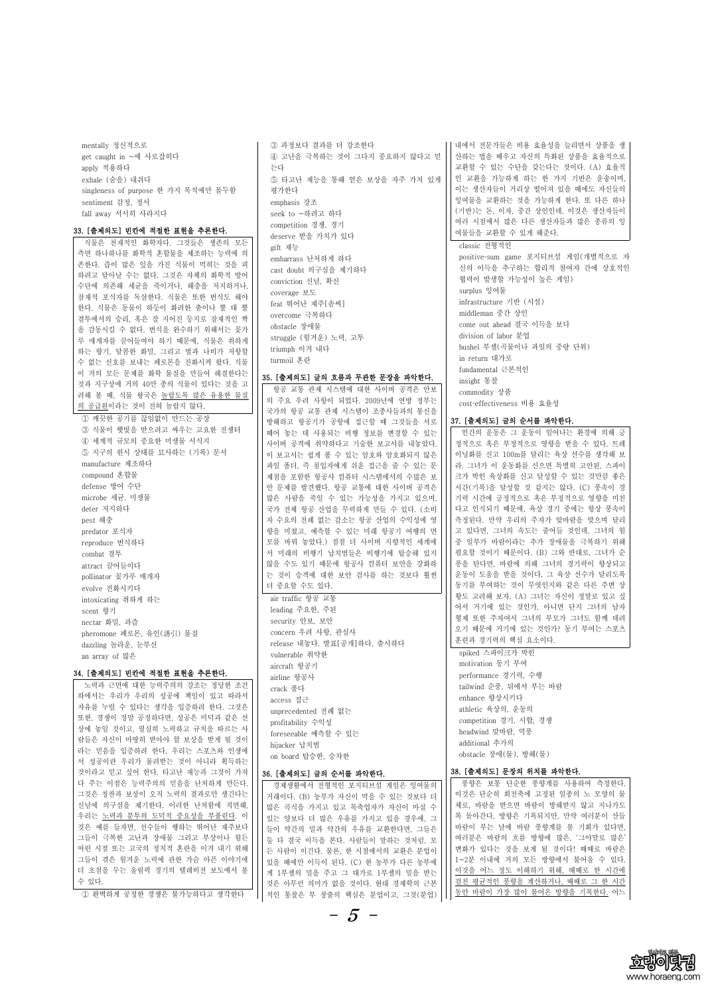



mentally 정신적으로 get caught in ~에 사로잡히다 apply 적용하다 exhale (숨을) 내쉬다 singleness of purpose 한 가지 목적에만 몰두함 sentiment 감정, 정서 fall away 서서히 사라지다

#### 33. [출제의도] 빈칸에 적절한 표현을 추론한다.

식물은 천재적인 화학자다. 그것들은 생존의 모든 측면 하나하나를 화학적 혼합물을 제조하는 능력에 의 존한다. 즙이 많은 잎을 가진 식물이 먹히는 것을 피 하려고 달아날 수는 없다. 그것은 자체의 화학적 방어 수단에 의존해 세균을 죽이거나, 해충을 저지하거나,<br>잠재적 포식자를 독살한다. 식물은 또한 번식도 해야 한다. 식물은 동물이 하듯이 화려한 춤이나 뿔 대 뿔 결투에서의 승리, 혹은 잘 지어진 둥지로 잠재적인 짝 을 감동시킬 수 없다. 번식을 완수하기 위해서는 꽃가 루 매개자를 끌어들여야 하기 때문에, 식물은 취하게 하는 향기, 달콤한 화밀, 그리고 벌과 나비가 저항할 수 없는 신호를 보내는 페로몬을 진화시켜 왔다. 식물 이 거의 모든 문제를 화학 물질을 만들어 해결한다는 것과 지구상에 거의 40만 종의 식물이 있다는 것을 고 려해 볼 때, 식물 왕국은 놀랍도록 많은 유용한 물질

9 공급원이라는 것이 전혀 놀랍지 않다.<br>-<br>- ① 깨끗한 공기를 끊임없이 만드는 공장 ③ 식물이 햇빛을 받으려고 싸우는 고요한 전쟁터 ④ 세계적 규모의 중요한 미생물 서식지 ⑤ 지구의 원시 상태를 묘사하는 (기록) 문서 manufacture 제조하다 compound 혼합물 defense 방어 수단 microbe 세균, 미생물 deter 저지하다 pest 해충 predator 포식자 reproduce 번식하다 combat 결투 attract 끌어들이다 pollinator 꽃가루 매개자 evolve 진화시키다 intoxicating 취하게 하는 scent 향기 nectar 화밀, 과즙 pheromone 페로몬, 유인(誘引) 물질 dazzling 놀라운, 눈부신 an array of 많은

#### 34. [출제의도] 빈칸에 적절한 표현을 추론한다.

노력과 근면에 대한 능력주의의 강조는 정당한 조건 하에서는 우리가 우리의 성공에 책임이 있고 따라서 자유를 누릴 수 있다는 생각을 입증하려 한다. 그것은 또한, 경쟁이 정말 공정하다면, 성공은 미덕과 같은 선 상에 놓일 것이고, 열심히 노력하고 규칙을 따르는 사 람들은 자신이 마땅히 받아야 할 보상을 받게 될 것이 라는 믿음을 입증하려 한다. 우리는 스포츠와 인생에

⑤ 타고난 재능을 통해 얻은 보상을 자주 가치 있게 | | 인 교환을 가능하게 하는 한 가지 기반은 운송이며, 내에서 전문가들은 비용 효율성을 늘리면서 상품을 생 산하는 법을 배우고 자신의 특화된 상품을 효율적으로 교환할 수 있는 수단을 갖는다는 것이다. (A) 효율적 이는 생산자들이 거리상 떨어져 있을 때에도 자신들의 잉여물을 교환하는 것을 가능하게 한다. 또 다른 하나 (기반)는 돈, 이자, 중간 상인인데, 이것은 생산자들이 여러 시점에서 많은 다른 생산자들과 많은 종류의 잉 여물들을 교환할 수 있게 해준다.

③ 과정보다 결과를 더 강조한다 ④ 고난을 극복하는 것이 그다지 중요하지 않다고 믿 는다 평가한다 emphasis 강조 seek to ~하려고 하다 competition 경쟁, 경기 deserve 받을 가치가 있다 gift 재능 embarrass 난처하게 하다 cast doubt 의구심을 제기하다 conviction 신념, 확신 coverage 보도 feat 뛰어난 재주[솜씨] overcome 극복하다 obstacle 장애물 struggle (힘겨운) 노력, 고투 triumph 이겨 내다 turmoil 혼란

positive-sum game 포지티브섬 게임(개별적으로 자 신의 이득을 추구하는 합리적 참여자 간에 상호적인 협력이 발생할 가능성이 높은 게임) surplus 잉여물 infrastructure 기반 (시설) middleman 중간 상인 come out ahead 결국 이득을 보다 division of labor 분업 bushel 부셸(곡물이나 과일의 중량 단위) in return 대가로 fundamental 근본적인 insight 통찰 commodity 상품 costeffectiveness 비용 효율성

#### 35. [출제의도] 글의 흐름과 무관한 문장을 파악한다.

항공 교통 관제 시스템에 대한 사이버 공격은 안보 의 주요 우려 사항이 되었다. 2009년에 연방 정부는 국가의 항공 교통 관제 시스템이 조종사들과의 통신을 방해하고 항공기가 공항에 접근할 때 그것들을 서로 떼어 놓는 데 사용되는 비행 정보를 변경할 수 있는 사이버 공격에 취약하다고 기술한 보고서를 내놓았다.<br>이 보고서는 쉽게 풀 수 있는 암호와 암호화되지 않은 파일 폴더, 즉 침입자에게 쉬운 접근을 줄 수 있는 문 제점을 포함한 항공사 컴퓨터 시스템에서의 수많은 보 안 문제를 발견했다. 항공 교통에 대한 사이버 공격은 많은 사람을 죽일 수 있는 가능성을 가지고 있으며,<br>국가 전체 항공 산업을 무력하게 만들 수 있다. (소비 자 수요의 전례 없는 감소는 항공 산업의 수익성에 영 향을 미쳤고, 예측할 수 있는 미래 항공기 여행의 면 모를 바꿔 놓았다.) 점점 더 사이버 지향적인 세계에 서 미래의 비행기 납치범들은 비행기에 탑승해 있지 않을 수도 있기 때문에 항공사 컴퓨터 보안을 강화하 는 것이 승객에 대한 보안 검사를 하는 것보다 훨씬 더 중요할 수도 있다. air traffic 항공 교통 leading 주요한, 주된 security 안보, 보안 concern 우려 사항, 관심사 release 내놓다, 발표[공개]하다, 출시하다 vulnerable 취약한 aircraft 항공기 airline 항공사 crack 풀다 access 접근 unprecedented 전례 없는 profitability 수익성 foreseeable 예측할 수 있는 hijacker 납치범

| 나는 단답할 잡히이며 안다. 구나는 수조스러 간생에<br>서 성공이란 우리가 물려받는 것이 아니라 획득하는 | on board 탑승한, 승차한               | obstacle 장애(물), 방해(물)         |
|-------------------------------------------------------------|---------------------------------|-------------------------------|
| 것이라고 믿고 싶어 한다. 타고난 재능과 그것이 가져                               | 36. [출제의도] 글의 순서를 파악한다.         | 38. [출제의도] 문장의 위치를 파악한다.      |
| 다 주는 이점은 능력주의의 믿음을 난처하게 만든다.                                | 경제생활에서 전형적인 포지티브섬 게임은 잉여물의      | 풍향은 보통 단순한 풍향계를 사용하여 측정한다.    |
| 그것은 칭찬과 보상이 오직 노력의 결과로만 생긴다는                                | 거래이다. (B) 농부가 자신이 먹을 수 있는 것보다 더 | 이것은 단순히 회전축에 고정된 일종의 노 모양의 물  |
| 신념에 의구심을 제기한다. 이러한 난처함에 직면해,                                | 많은 곡식을 가지고 있고 목축업자가 자신이 마실 수    | 체로, 바람을 받으면 바람이 방해받지 않고 지나가도  |
| 우리는 노력과 분투의 도덕적 중요성을 부풀린다. 이                                | 있는 양보다 더 많은 우유를 가지고 있을 경우에, 그   | 록 돌아간다. 방향은 기록되지만, 만약 여러분이 산들 |
| 것은 예를 들자면, 선수들이 행하는 뛰어난 재주보다                                | 들이 약간의 밀과 약간의 우유를 교환한다면, 그들은    | 바람이 부는 날에 바람 풍향계를 볼 기회가 있다면,  |
| 그들이 극복한 고난과 장애물 그리고 부상이나 힘든                                 | 둘 다 결국 이득을 본다. 사람들이 말하는 것처럼, 모  | 여러분은 바람의 흐름 방향에 많은, '그야말로 많은' |
| 어린 시절 또는 고국의 정치적 혼란을 이겨 내기 위해                               | 든 사람이 이긴다. 물론, 한 시점에서의 교환은 분업이  | 변화가 있다는 것을 보게 될 것이다! 때때로 바람은  |
| 그들이 겪은 힘겨운 노력에 관한 가슴 아픈 이야기에                                | 있을 때에만 이득이 된다. (C) 한 농부가 다른 농부에 | 1~2분 이내에 거의 모든 방향에서 불어올 수 있다. |
| 더 초점을 두는 올림픽 경기의 텔레비전 보도에서 볼                                | 게 1부셸의 밀을 주고 그 대가로 1부셸의 밀을 받는   | 이것을 어느 정도 이해하기 위해, 때때로 한 시간에  |
| 수 있다.                                                       | 것은 아무런 의미가 없을 것이다. 현대 경제학의 근본   | 걸친 평균적인 풍향을 계산하거나, 때때로 그 한 시간 |
| ① 완벽하게 공정한 경쟁은 불가능하다고 생각한다                                  | 적인 통찰은 부 창출의 핵심은 분업이고, 그것(분업)   | 동안 바람이 가장 많이 불어온 방향을 기록한다. 어느 |

#### classic 전형적인

#### 37. [출제의도] 글의 순서를 파악한다.

인간의 운동은 그 운동이 일어나는 환경에 의해 긍 정적으로 혹은 부정적으로 영향을 받을 수 있다. 트레 이닝화를 신고 100m를 달리는 육상 선수를 생각해 보 라. 그녀가 이 운동화를 신으면 특별히 고안된, 스파이 크가 박힌 육상화를 신고 달성할 수 있는 것만큼 좋은 시간(기록)을 달성할 것 같지는 않다. (C) 풍속이 경 기력 시간에 긍정적으로 혹은 부정적으로 영향을 미친 다고 인식되기 때문에, 육상 경기 중에는 항상 풍속이 측정된다. 만약 우리의 주자가 맞바람을 맞으며 달리 고 있다면, 그녀의 속도는 줄어들 것인데, 그녀의 힘 중 일부가 바람이라는 추가 장애물을 극복하기 위해 필요할 것이기 때문이다. (B) 그와 반대로, 그녀가 순 풍을 탄다면, 바람에 의해 그녀의 경기력이 향상되고 운동이 도움을 받을 것이다. 그 육상 선수가 달리도록 동기를 부여하는 것이 무엇인지와 같은 다른 주변 상 황도 고려해 보자. (A) 그녀는 자신이 정말로 있고 싶 어서 거기에 있는 것인가, 아니면 단지 그녀의 남자 형제 또한 주자여서 그녀의 부모가 그녀도 함께 데려 오기 때문에 거기에 있는 것인가? 동기 부여는 스포츠 훈련과 경기력의 핵심 요소이다.

spiked 스파이크가 박힌 motivation 동기 부여 performance 경기력, 수행 tailwind 순풍, 뒤에서 부는 바람 enhance 향상시키다 athletic 육상의, 운동의 competition 경기, 시합, 경쟁 headwind 맞바람, 역풍 additional 추가의